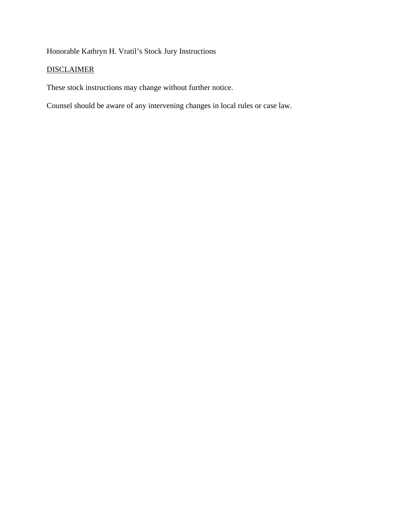Honorable Kathryn H. Vratil's Stock Jury Instructions

# **DISCLAIMER**

These stock instructions may change without further notice.

Counsel should be aware of any intervening changes in local rules or case law.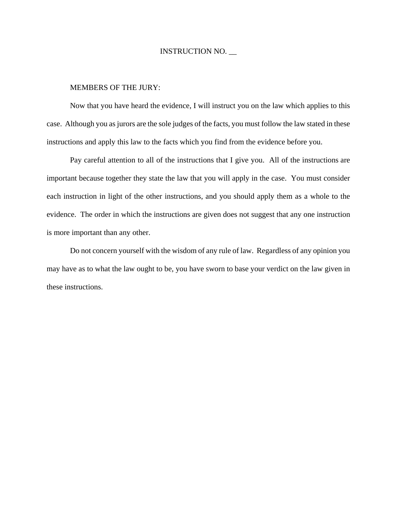#### MEMBERS OF THE JURY:

Now that you have heard the evidence, I will instruct you on the law which applies to this case. Although you as jurors are the sole judges of the facts, you must follow the law stated in these instructions and apply this law to the facts which you find from the evidence before you.

 Pay careful attention to all of the instructions that I give you. All of the instructions are important because together they state the law that you will apply in the case. You must consider each instruction in light of the other instructions, and you should apply them as a whole to the evidence. The order in which the instructions are given does not suggest that any one instruction is more important than any other.

Do not concern yourself with the wisdom of any rule of law. Regardless of any opinion you may have as to what the law ought to be, you have sworn to base your verdict on the law given in these instructions.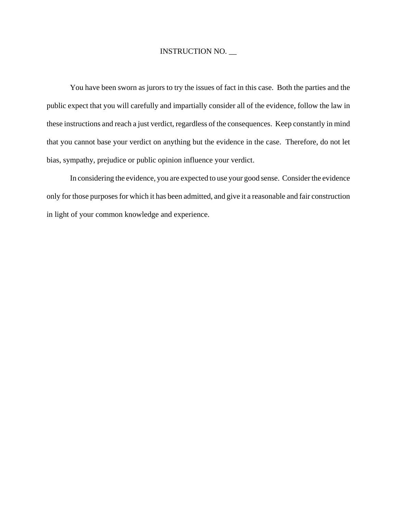You have been sworn as jurors to try the issues of fact in this case. Both the parties and the public expect that you will carefully and impartially consider all of the evidence, follow the law in these instructions and reach a just verdict, regardless of the consequences. Keep constantly in mind that you cannot base your verdict on anything but the evidence in the case. Therefore, do not let bias, sympathy, prejudice or public opinion influence your verdict.

In considering the evidence, you are expected to use your good sense. Consider the evidence only for those purposes for which it has been admitted, and give it a reasonable and fair construction in light of your common knowledge and experience.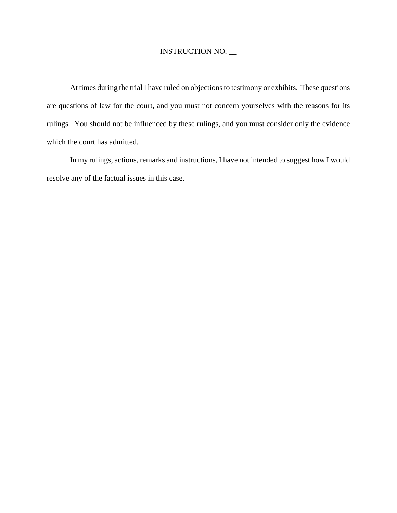At times during the trial I have ruled on objections to testimony or exhibits. These questions are questions of law for the court, and you must not concern yourselves with the reasons for its rulings. You should not be influenced by these rulings, and you must consider only the evidence which the court has admitted.

In my rulings, actions, remarks and instructions, I have not intended to suggest how I would resolve any of the factual issues in this case.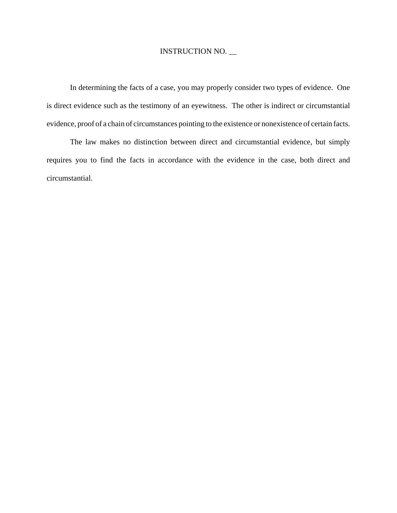In determining the facts of a case, you may properly consider two types of evidence. One is direct evidence such as the testimony of an eyewitness. The other is indirect or circumstantial evidence, proof of a chain of circumstances pointing to the existence or nonexistence of certain facts.

The law makes no distinction between direct and circumstantial evidence, but simply requires you to find the facts in accordance with the evidence in the case, both direct and circumstantial.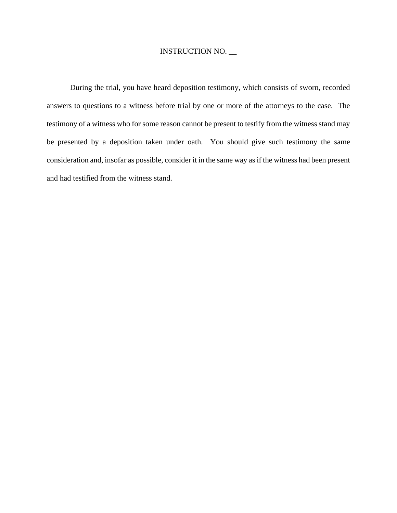During the trial, you have heard deposition testimony, which consists of sworn, recorded answers to questions to a witness before trial by one or more of the attorneys to the case. The testimony of a witness who for some reason cannot be present to testify from the witness stand may be presented by a deposition taken under oath. You should give such testimony the same consideration and, insofar as possible, consider it in the same way as if the witness had been present and had testified from the witness stand.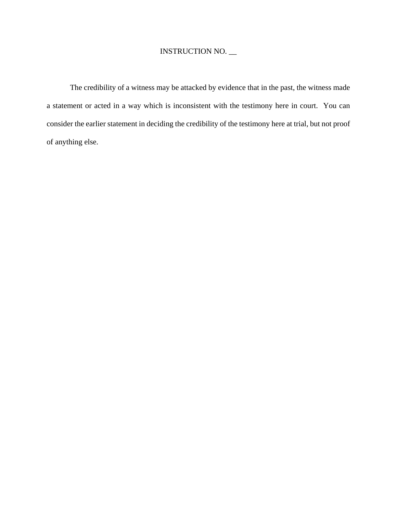The credibility of a witness may be attacked by evidence that in the past, the witness made a statement or acted in a way which is inconsistent with the testimony here in court. You can consider the earlier statement in deciding the credibility of the testimony here at trial, but not proof of anything else.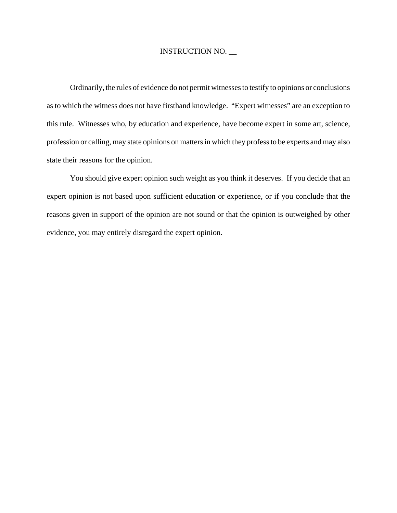Ordinarily, the rules of evidence do not permit witnesses to testify to opinions or conclusions as to which the witness does not have firsthand knowledge. "Expert witnesses" are an exception to this rule. Witnesses who, by education and experience, have become expert in some art, science, profession or calling, may state opinions on matters in which they profess to be experts and may also state their reasons for the opinion.

You should give expert opinion such weight as you think it deserves. If you decide that an expert opinion is not based upon sufficient education or experience, or if you conclude that the reasons given in support of the opinion are not sound or that the opinion is outweighed by other evidence, you may entirely disregard the expert opinion.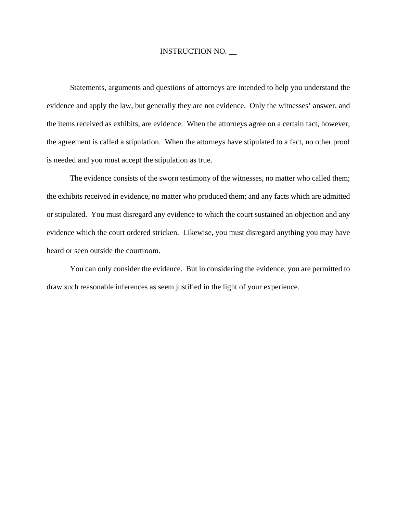Statements, arguments and questions of attorneys are intended to help you understand the evidence and apply the law, but generally they are not evidence. Only the witnesses' answer, and the items received as exhibits, are evidence. When the attorneys agree on a certain fact, however, the agreement is called a stipulation. When the attorneys have stipulated to a fact, no other proof is needed and you must accept the stipulation as true.

The evidence consists of the sworn testimony of the witnesses, no matter who called them; the exhibits received in evidence, no matter who produced them; and any facts which are admitted or stipulated. You must disregard any evidence to which the court sustained an objection and any evidence which the court ordered stricken. Likewise, you must disregard anything you may have heard or seen outside the courtroom.

You can only consider the evidence. But in considering the evidence, you are permitted to draw such reasonable inferences as seem justified in the light of your experience.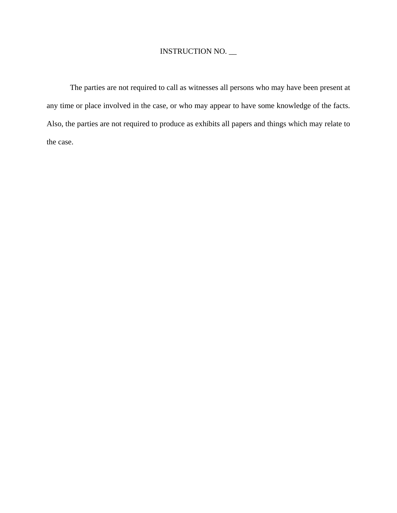The parties are not required to call as witnesses all persons who may have been present at any time or place involved in the case, or who may appear to have some knowledge of the facts. Also, the parties are not required to produce as exhibits all papers and things which may relate to the case.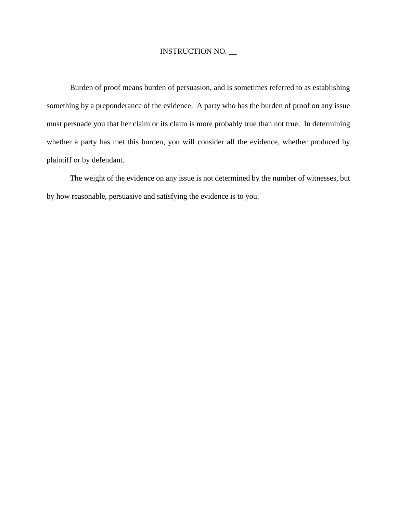Burden of proof means burden of persuasion, and is sometimes referred to as establishing something by a preponderance of the evidence. A party who has the burden of proof on any issue must persuade you that her claim or its claim is more probably true than not true. In determining whether a party has met this burden, you will consider all the evidence, whether produced by plaintiff or by defendant.

The weight of the evidence on any issue is not determined by the number of witnesses, but by how reasonable, persuasive and satisfying the evidence is to you.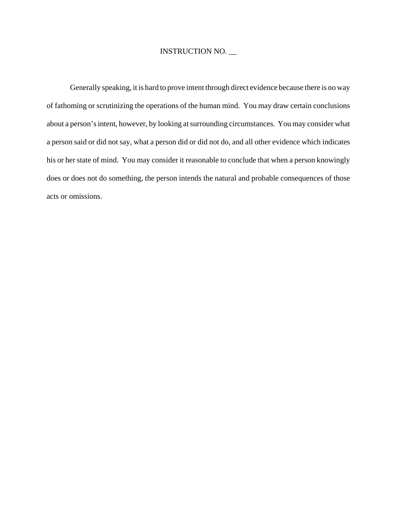Generally speaking, it is hard to prove intent through direct evidence because there is no way of fathoming or scrutinizing the operations of the human mind. You may draw certain conclusions about a person's intent, however, by looking at surrounding circumstances. You may consider what a person said or did not say, what a person did or did not do, and all other evidence which indicates his or her state of mind. You may consider it reasonable to conclude that when a person knowingly does or does not do something, the person intends the natural and probable consequences of those acts or omissions.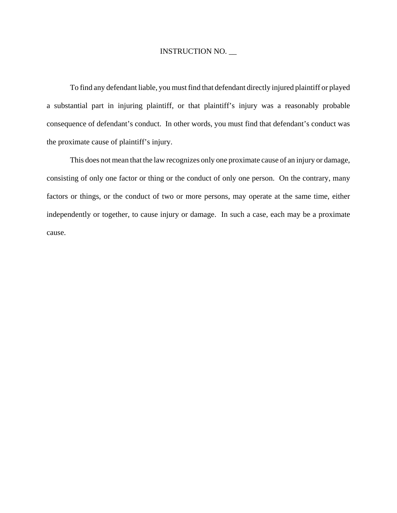To find any defendant liable, you must find that defendant directly injured plaintiff or played a substantial part in injuring plaintiff, or that plaintiff's injury was a reasonably probable consequence of defendant's conduct. In other words, you must find that defendant's conduct was the proximate cause of plaintiff's injury.

This does not mean that the law recognizes only one proximate cause of an injury or damage, consisting of only one factor or thing or the conduct of only one person. On the contrary, many factors or things, or the conduct of two or more persons, may operate at the same time, either independently or together, to cause injury or damage. In such a case, each may be a proximate cause.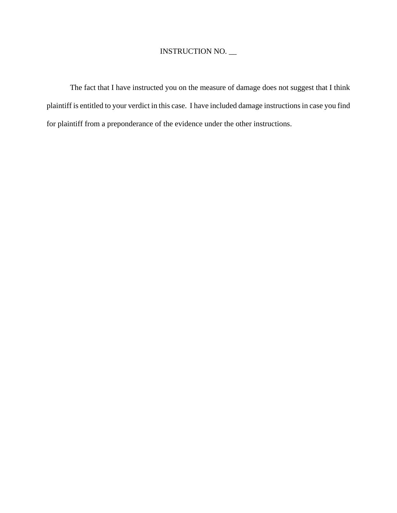The fact that I have instructed you on the measure of damage does not suggest that I think plaintiff is entitled to your verdict in this case. I have included damage instructions in case you find for plaintiff from a preponderance of the evidence under the other instructions.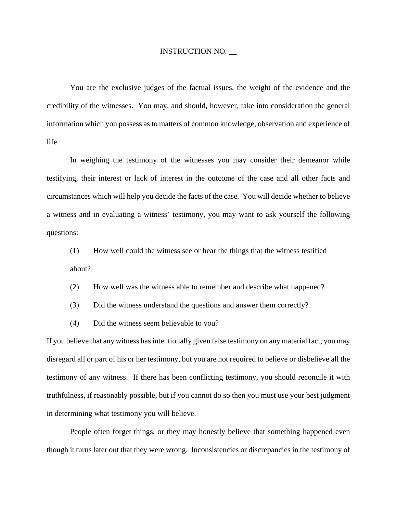You are the exclusive judges of the factual issues, the weight of the evidence and the credibility of the witnesses. You may, and should, however, take into consideration the general information which you possess as to matters of common knowledge, observation and experience of life.

In weighing the testimony of the witnesses you may consider their demeanor while testifying, their interest or lack of interest in the outcome of the case and all other facts and circumstances which will help you decide the facts of the case. You will decide whether to believe a witness and in evaluating a witness' testimony, you may want to ask yourself the following questions:

(1) How well could the witness see or hear the things that the witness testified about?

- (2) How well was the witness able to remember and describe what happened?
- (3) Did the witness understand the questions and answer them correctly?
- (4) Did the witness seem believable to you?

If you believe that any witness has intentionally given false testimony on any material fact, you may disregard all or part of his or her testimony, but you are not required to believe or disbelieve all the testimony of any witness. If there has been conflicting testimony, you should reconcile it with truthfulness, if reasonably possible, but if you cannot do so then you must use your best judgment in determining what testimony you will believe.

People often forget things, or they may honestly believe that something happened even though it turns later out that they were wrong. Inconsistencies or discrepancies in the testimony of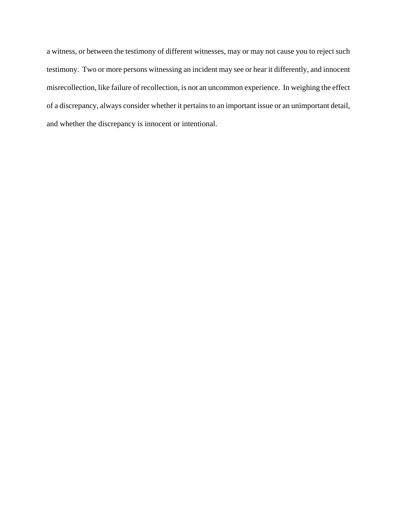a witness, or between the testimony of different witnesses, may or may not cause you to reject such testimony. Two or more persons witnessing an incident may see or hear it differently, and innocent misrecollection, like failure of recollection, is not an uncommon experience. In weighing the effect of a discrepancy, always consider whether it pertains to an important issue or an unimportant detail, and whether the discrepancy is innocent or intentional.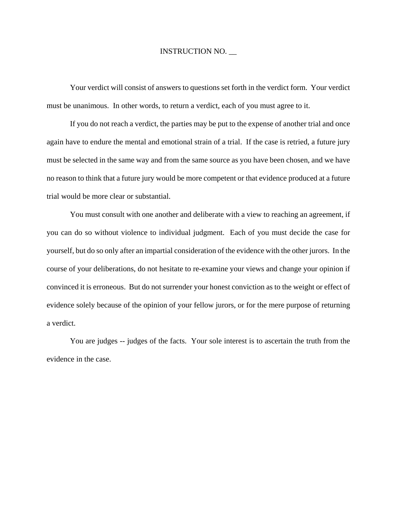Your verdict will consist of answers to questions set forth in the verdict form. Your verdict must be unanimous. In other words, to return a verdict, each of you must agree to it.

If you do not reach a verdict, the parties may be put to the expense of another trial and once again have to endure the mental and emotional strain of a trial. If the case is retried, a future jury must be selected in the same way and from the same source as you have been chosen, and we have no reason to think that a future jury would be more competent or that evidence produced at a future trial would be more clear or substantial.

You must consult with one another and deliberate with a view to reaching an agreement, if you can do so without violence to individual judgment. Each of you must decide the case for yourself, but do so only after an impartial consideration of the evidence with the other jurors. In the course of your deliberations, do not hesitate to re-examine your views and change your opinion if convinced it is erroneous. But do not surrender your honest conviction as to the weight or effect of evidence solely because of the opinion of your fellow jurors, or for the mere purpose of returning a verdict.

You are judges -- judges of the facts. Your sole interest is to ascertain the truth from the evidence in the case.